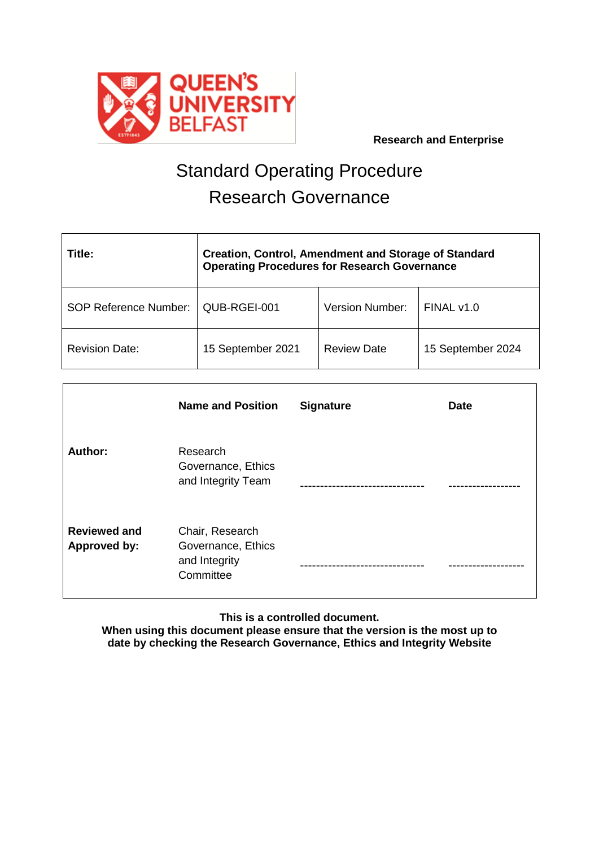

 **Research and Enterprise**

# Standard Operating Procedure Research Governance

| Title:                       | <b>Creation, Control, Amendment and Storage of Standard</b><br><b>Operating Procedures for Research Governance</b> |                        |                   |
|------------------------------|--------------------------------------------------------------------------------------------------------------------|------------------------|-------------------|
| <b>SOP Reference Number:</b> | QUB-RGEI-001                                                                                                       | <b>Version Number:</b> | FINAL v1.0        |
| <b>Revision Date:</b>        | 15 September 2021                                                                                                  | <b>Review Date</b>     | 15 September 2024 |

|                                            | <b>Name and Position</b>                                            | <b>Signature</b> | <b>Date</b> |
|--------------------------------------------|---------------------------------------------------------------------|------------------|-------------|
| <b>Author:</b>                             | Research<br>Governance, Ethics<br>and Integrity Team                |                  |             |
| <b>Reviewed and</b><br><b>Approved by:</b> | Chair, Research<br>Governance, Ethics<br>and Integrity<br>Committee |                  |             |

**This is a controlled document.**

**When using this document please ensure that the version is the most up to date by checking the Research Governance, Ethics and Integrity Website**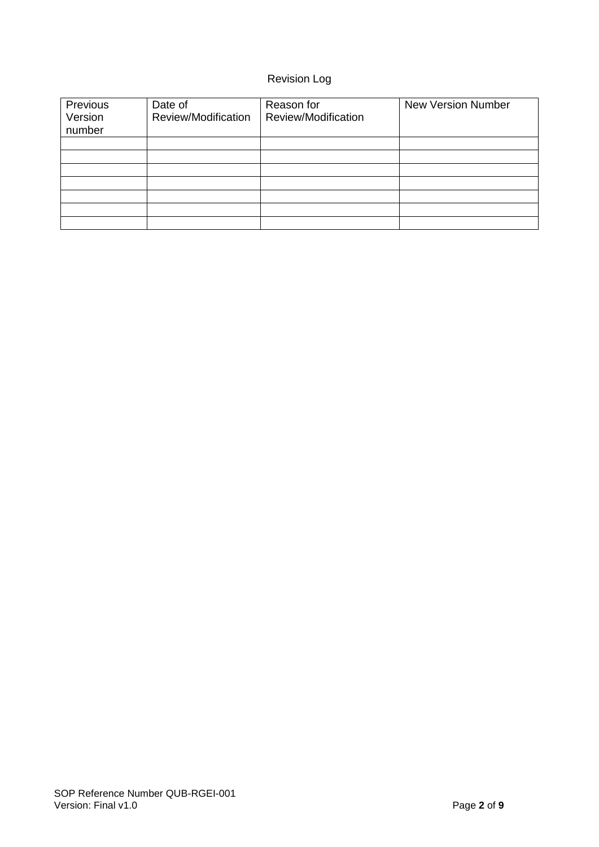## Revision Log

| Previous<br>Version<br>number | Date of<br>Review/Modification | Reason for<br>Review/Modification | <b>New Version Number</b> |
|-------------------------------|--------------------------------|-----------------------------------|---------------------------|
|                               |                                |                                   |                           |
|                               |                                |                                   |                           |
|                               |                                |                                   |                           |
|                               |                                |                                   |                           |
|                               |                                |                                   |                           |
|                               |                                |                                   |                           |
|                               |                                |                                   |                           |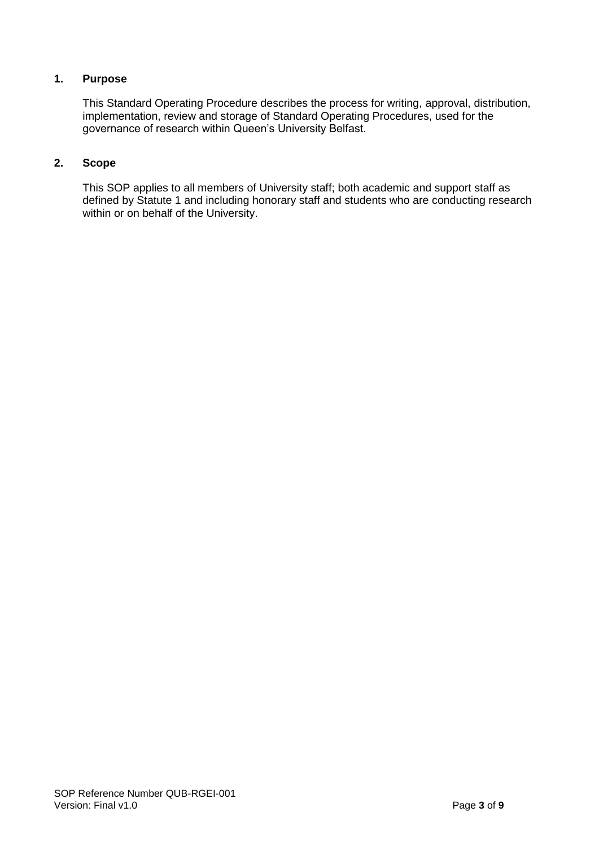## **1. Purpose**

This Standard Operating Procedure describes the process for writing, approval, distribution, implementation, review and storage of Standard Operating Procedures, used for the governance of research within Queen's University Belfast.

## **2. Scope**

This SOP applies to all members of University staff; both academic and support staff as defined by Statute 1 and including honorary staff and students who are conducting research within or on behalf of the University.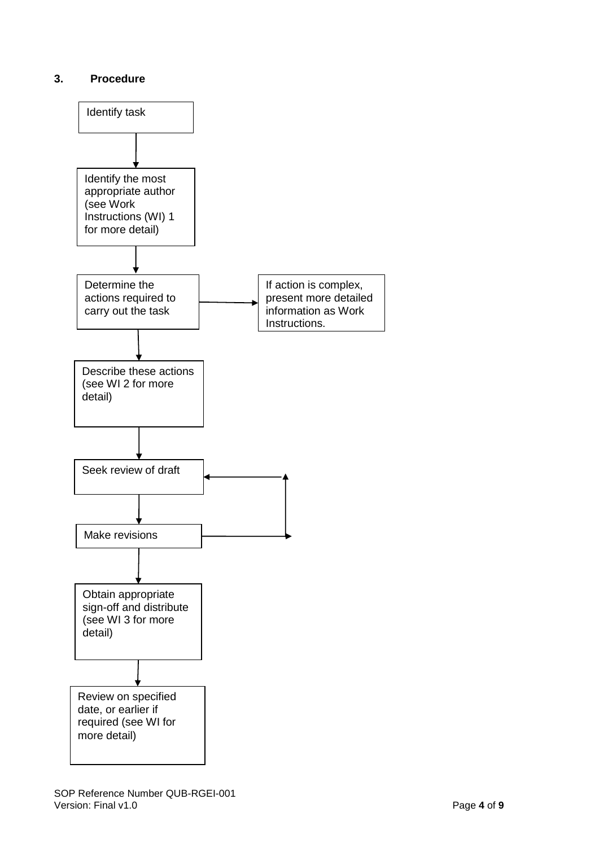## **3. Procedure**

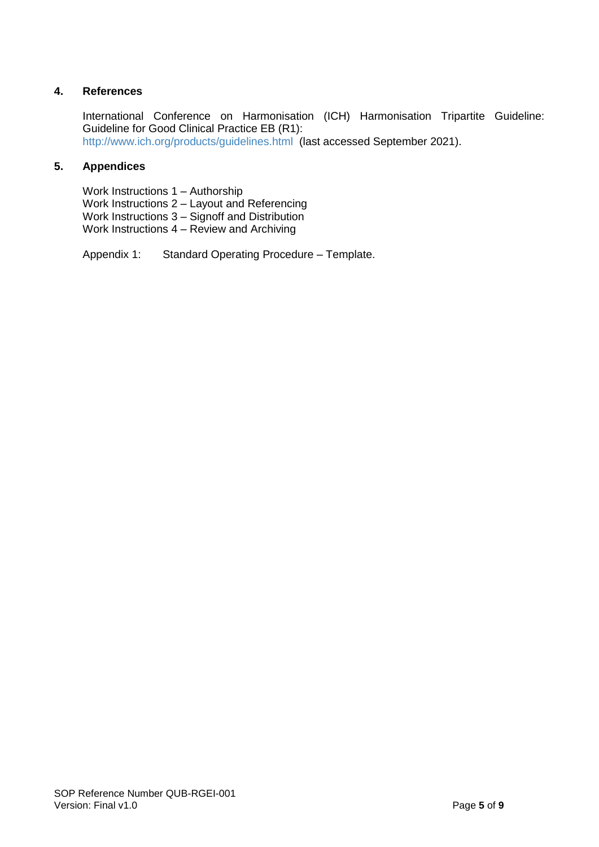## **4. References**

International Conference on Harmonisation (ICH) Harmonisation Tripartite Guideline: Guideline for Good Clinical Practice EB (R1): <http://www.ich.org/products/guidelines.html> (last accessed September 2021).

## **5. Appendices**

Work Instructions 1 – Authorship Work Instructions 2 – Layout and Referencing Work Instructions 3 – Signoff and Distribution Work Instructions 4 – Review and Archiving

Appendix 1: Standard Operating Procedure – Template.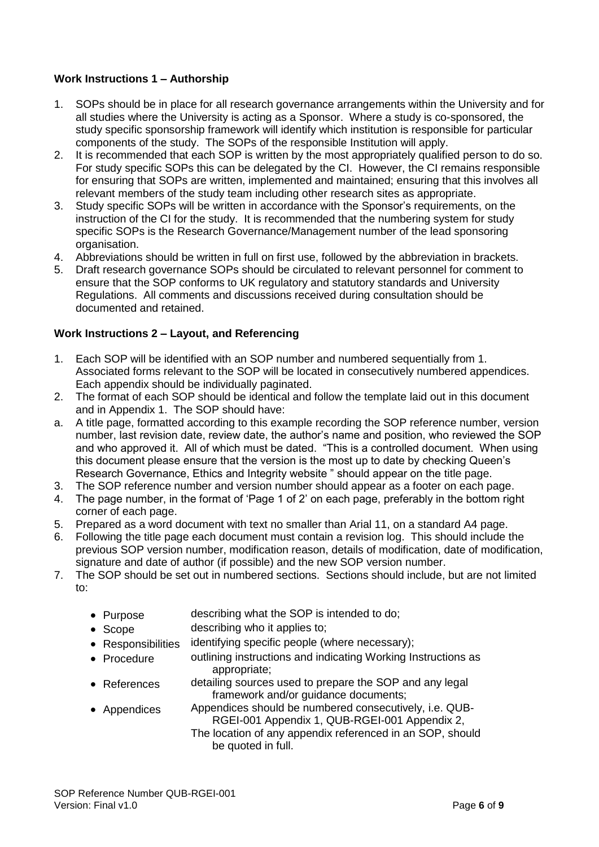## **Work Instructions 1 – Authorship**

- 1. SOPs should be in place for all research governance arrangements within the University and for all studies where the University is acting as a Sponsor. Where a study is co-sponsored, the study specific sponsorship framework will identify which institution is responsible for particular components of the study. The SOPs of the responsible Institution will apply.
- 2. It is recommended that each SOP is written by the most appropriately qualified person to do so. For study specific SOPs this can be delegated by the CI. However, the CI remains responsible for ensuring that SOPs are written, implemented and maintained; ensuring that this involves all relevant members of the study team including other research sites as appropriate.
- 3. Study specific SOPs will be written in accordance with the Sponsor's requirements, on the instruction of the CI for the study. It is recommended that the numbering system for study specific SOPs is the Research Governance/Management number of the lead sponsoring organisation.
- 4. Abbreviations should be written in full on first use, followed by the abbreviation in brackets.
- 5. Draft research governance SOPs should be circulated to relevant personnel for comment to ensure that the SOP conforms to UK regulatory and statutory standards and University Regulations. All comments and discussions received during consultation should be documented and retained.

#### **Work Instructions 2 – Layout, and Referencing**

- 1. Each SOP will be identified with an SOP number and numbered sequentially from 1. Associated forms relevant to the SOP will be located in consecutively numbered appendices. Each appendix should be individually paginated.
- 2. The format of each SOP should be identical and follow the template laid out in this document and in Appendix 1. The SOP should have:
- a. A title page, formatted according to this example recording the SOP reference number, version number, last revision date, review date, the author's name and position, who reviewed the SOP and who approved it. All of which must be dated. "This is a controlled document. When using this document please ensure that the version is the most up to date by checking Queen's Research Governance, Ethics and Integrity website " should appear on the title page.
- 3. The SOP reference number and version number should appear as a footer on each page.
- 4. The page number, in the format of 'Page 1 of 2' on each page, preferably in the bottom right corner of each page.
- 5. Prepared as a word document with text no smaller than Arial 11, on a standard A4 page.
- 6. Following the title page each document must contain a revision log. This should include the previous SOP version number, modification reason, details of modification, date of modification, signature and date of author (if possible) and the new SOP version number.
- 7. The SOP should be set out in numbered sections. Sections should include, but are not limited to:
	- Purpose describing what the SOP is intended to do;
	- Scope describing who it applies to;
	- Responsibilities identifying specific people (where necessary);
	- Procedure outlining instructions and indicating Working Instructions as appropriate;
	- References detailing sources used to prepare the SOP and any legal framework and/or guidance documents;
	- Appendices Appendices should be numbered consecutively, i.e. QUB-RGEI-001 Appendix 1, QUB-RGEI-001 Appendix 2, The location of any appendix referenced in an SOP, should be quoted in full.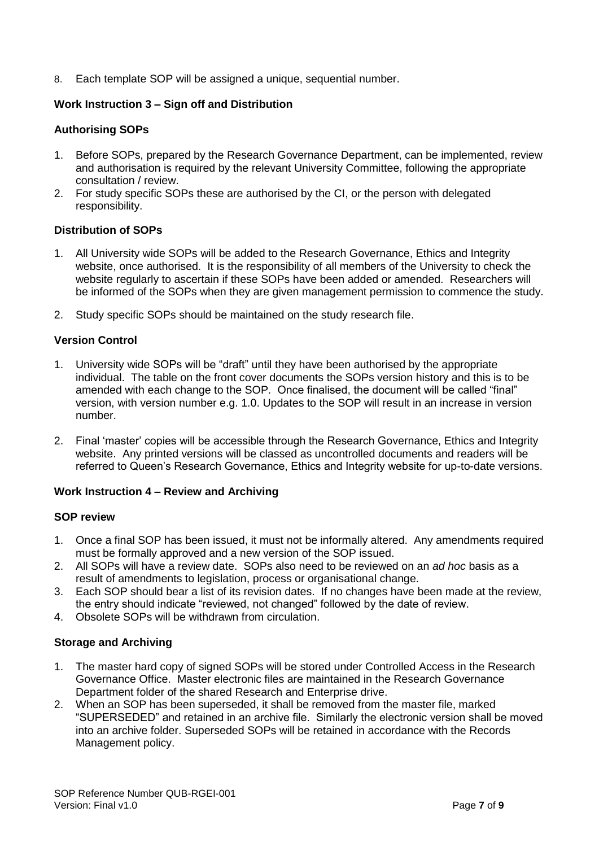8. Each template SOP will be assigned a unique, sequential number.

#### **Work Instruction 3 – Sign off and Distribution**

#### **Authorising SOPs**

- 1. Before SOPs, prepared by the Research Governance Department, can be implemented, review and authorisation is required by the relevant University Committee, following the appropriate consultation / review.
- 2. For study specific SOPs these are authorised by the CI, or the person with delegated responsibility.

#### **Distribution of SOPs**

- 1. All University wide SOPs will be added to the Research Governance, Ethics and Integrity website, once authorised. It is the responsibility of all members of the University to check the website regularly to ascertain if these SOPs have been added or amended. Researchers will be informed of the SOPs when they are given management permission to commence the study.
- 2. Study specific SOPs should be maintained on the study research file.

#### **Version Control**

- 1. University wide SOPs will be "draft" until they have been authorised by the appropriate individual. The table on the front cover documents the SOPs version history and this is to be amended with each change to the SOP. Once finalised, the document will be called "final" version, with version number e.g. 1.0. Updates to the SOP will result in an increase in version number.
- 2. Final 'master' copies will be accessible through the Research Governance, Ethics and Integrity website. Any printed versions will be classed as uncontrolled documents and readers will be referred to Queen's Research Governance, Ethics and Integrity website for up-to-date versions.

#### **Work Instruction 4 – Review and Archiving**

#### **SOP review**

- 1. Once a final SOP has been issued, it must not be informally altered. Any amendments required must be formally approved and a new version of the SOP issued.
- 2. All SOPs will have a review date. SOPs also need to be reviewed on an *ad hoc* basis as a result of amendments to legislation, process or organisational change.
- 3. Each SOP should bear a list of its revision dates. If no changes have been made at the review, the entry should indicate "reviewed, not changed" followed by the date of review.
- 4. Obsolete SOPs will be withdrawn from circulation.

#### **Storage and Archiving**

- 1. The master hard copy of signed SOPs will be stored under Controlled Access in the Research Governance Office. Master electronic files are maintained in the Research Governance Department folder of the shared Research and Enterprise drive.
- 2. When an SOP has been superseded, it shall be removed from the master file, marked "SUPERSEDED" and retained in an archive file. Similarly the electronic version shall be moved into an archive folder. Superseded SOPs will be retained in accordance with the Records Management policy.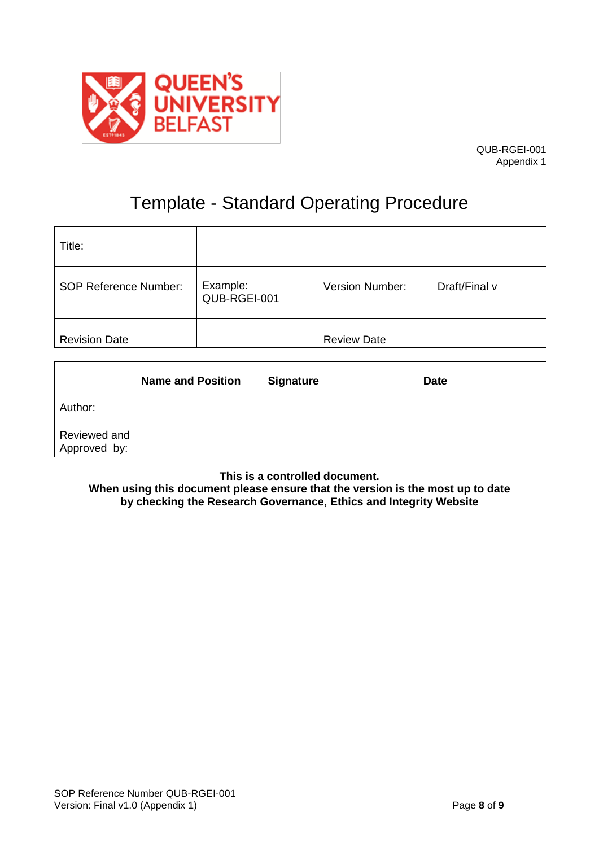

## Template - Standard Operating Procedure

| Title:                       |                          |                    |               |
|------------------------------|--------------------------|--------------------|---------------|
| <b>SOP Reference Number:</b> | Example:<br>QUB-RGEI-001 | Version Number:    | Draft/Final v |
| <b>Revision Date</b>         |                          | <b>Review Date</b> |               |

|                              | <b>Name and Position</b> | <b>Signature</b> | <b>Date</b> |
|------------------------------|--------------------------|------------------|-------------|
| Author:                      |                          |                  |             |
| Reviewed and<br>Approved by: |                          |                  |             |

**This is a controlled document.**

**When using this document please ensure that the version is the most up to date by checking the Research Governance, Ethics and Integrity Website**